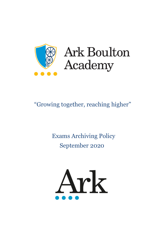

# **Ark Boulton** Academy

# "Growing together, reaching higher"

# Exams Archiving Policy September 2020

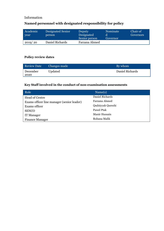#### Information

# **Named personnel with designated responsibility for policy**

| Academic<br>year | Designated Senior<br>person | Deputy<br>Designated<br>Senior person | Nominate<br>Governor | Chair of<br>Governors |
|------------------|-----------------------------|---------------------------------------|----------------------|-----------------------|
| 2019/20          | Daniel Richards             | Farzana Ahmed                         |                      |                       |

## **Policy review dates**

| <b>Review Date</b> | Changes made | By whom         |
|--------------------|--------------|-----------------|
| December<br>2020   | Updated      | Daniel Richards |

## **Key Staff involved in the conduct of non-examination assessments**

| Role                                       | Name(s)           |
|--------------------------------------------|-------------------|
| Head of Centre                             | Daniel Richards   |
| Exams officer line manager (senior leader) | Farzana Ahmed     |
| Exams officer                              | Qudsiyyah Qureshi |
| <b>SENCO</b>                               | Pawel Ptak        |
| <b>IT Manager</b>                          | Manir Hussain     |
| <b>Finance Manager</b>                     | Robana Malik      |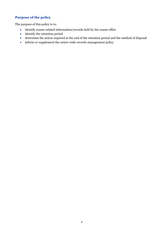## **Purpose of the policy**

The purpose of this policy is to:

- identify exams-related information/records held by the exams office
- identify the retention period
- determine the action required at the end of the retention period and the method of disposal
- inform or supplement the centre-wide records management policy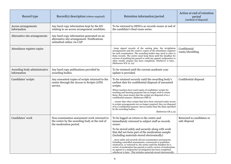| Record type                                 | Record(s) description (where required)                                                                                 | Retention information/period                                                                                                                                                                                                                                                                                                                                                                                                      | Action at end of retention<br>period<br>(method of disposal) |
|---------------------------------------------|------------------------------------------------------------------------------------------------------------------------|-----------------------------------------------------------------------------------------------------------------------------------------------------------------------------------------------------------------------------------------------------------------------------------------------------------------------------------------------------------------------------------------------------------------------------------|--------------------------------------------------------------|
| Access arrangements<br>information          | Any hard copy information kept by the EO<br>relating to an access arrangement candidate.                               | To be returned to SENCo as records owner at end of<br>the candidate's final exam series.                                                                                                                                                                                                                                                                                                                                          |                                                              |
| Alternative site arrangements               | Any hard copy information generated on an<br>alternative site arrangement. Notifications<br>submitted online via CAP.  |                                                                                                                                                                                                                                                                                                                                                                                                                                   |                                                              |
| Attendance register copies                  |                                                                                                                        | keep signed records of the seating plan, the invigilation<br>arrangements and the centre's copies of the attendance registers<br>for each examination. The awarding bodies may need to refer to<br>these records. The centre must keep them until the deadline for<br>reviews of marking has passed or until any appeal, malpractice or<br>other results enquiry has been completed, whichever is later<br>(Reference ICE 12, 22) | Confidential<br>waste/shredding                              |
| Awarding body administrative<br>information | Any hard copy publications provided by<br>awarding bodies.                                                             | To be retained until the current academic year<br>update is provided.                                                                                                                                                                                                                                                                                                                                                             |                                                              |
| Candidates' scripts                         | Any unwanted copies of scripts returned to the<br>centre through the Access to Scripts (ATS)<br>service.               | To be retained securely until the awarding body's<br>earliest date for confidential disposal of unwanted<br>scripts.<br>Where teachers have used copies of candidates' scripts for                                                                                                                                                                                                                                                | Confidential disposal                                        |
|                                             |                                                                                                                        | teaching and learning purposes but no longer wish to retain<br>them, they must ensure that the scripts are disposed of in a<br>confidential manner. (Reference PRS 6)                                                                                                                                                                                                                                                             |                                                              |
|                                             |                                                                                                                        | ensure that when scripts that have been returned under access<br>to scripts arrangements are no longer required, they are disposed<br>of in a confidential manner, but no earlier than the dates specified<br>by the awarding bodies<br>(Reference GR 3.15)                                                                                                                                                                       |                                                              |
| Candidates' work                            | Non-examination assessment work returned to<br>the centre by the awarding body at the end of<br>the moderation period. | To be logged on return to the centre and<br>immediately returned to subject staff as records<br>owner.                                                                                                                                                                                                                                                                                                                            | Returned to candidates or<br>safe disposal                   |
|                                             |                                                                                                                        | To be stored safely and securely along with work<br>that did not form part of the moderation sample<br>(including materials stored electronically)                                                                                                                                                                                                                                                                                |                                                              |
|                                             |                                                                                                                        | store safely and securely all non-examination assessments,<br>including controlled assessments, coursework or portfolios,<br>retained in, or returned to, the centre until the deadline for a<br>review of moderation has passed or until a review of moderation,<br>an appeal or a malpractice investigation has been completed,<br>whichever is later. This includes materials stored electronically.                           |                                                              |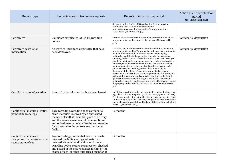| Record type                                                                    | Record(s) description (where required)                                                                                                                                                                                                                                                                | Retention information/period                                                                                                                                                                                                                                                                                                                                                                                                                                                                                                                                                                                                                                                                                                                                                                                                                                                                                                                                                                                         | Action at end of retention<br>period<br>(method of disposal) |
|--------------------------------------------------------------------------------|-------------------------------------------------------------------------------------------------------------------------------------------------------------------------------------------------------------------------------------------------------------------------------------------------------|----------------------------------------------------------------------------------------------------------------------------------------------------------------------------------------------------------------------------------------------------------------------------------------------------------------------------------------------------------------------------------------------------------------------------------------------------------------------------------------------------------------------------------------------------------------------------------------------------------------------------------------------------------------------------------------------------------------------------------------------------------------------------------------------------------------------------------------------------------------------------------------------------------------------------------------------------------------------------------------------------------------------|--------------------------------------------------------------|
|                                                                                |                                                                                                                                                                                                                                                                                                       | See paragraph 4.8 of the JCQ publication Instructions for<br>conducting non - examination assessments<br>https://www.jcq.org.uk/exams-office/non-examination-<br>assessments (Reference GR 3.15)                                                                                                                                                                                                                                                                                                                                                                                                                                                                                                                                                                                                                                                                                                                                                                                                                     |                                                              |
| Certificates                                                                   | Candidate certificates issued by awarding<br>bodies.                                                                                                                                                                                                                                                  | retain all unclaimed certificates under secure conditions for a<br>minimum of 12 months from the date of issue (Reference GR)<br>(5.14)                                                                                                                                                                                                                                                                                                                                                                                                                                                                                                                                                                                                                                                                                                                                                                                                                                                                              | Confidential destruction                                     |
| Certificate destruction<br>information                                         | A record of unclaimed certificates that have<br>been destroyed.                                                                                                                                                                                                                                       | destroy any unclaimed certificates after retaining them for a<br>minimum of 12 months. They must be destroyed in a confidential<br>manner. Centres that do not have a means of destroying<br>certificates confidentially may return them to the respective<br>awarding body. A record of certificates that have been destroyed<br>should be retained for four years from their date of destruction.<br>However, candidates should be informed that some awarding<br>bodies do not offer a replacement certificate service. In such<br>circumstances the awarding body will issue a Certifying<br>Statement of Results (Where an awarding body issues a<br>replacement certificate, or a Certifying Statement of Results, this<br>will provide an accurate and complete record of results for all<br>qualifications covered by the original certificate return any<br>certificates requested by the awarding bodies. Certificates remain<br>the property of the awarding bodies at all times. (Reference GR<br>(5.14) | Confidential destruction                                     |
| Certificate issue information                                                  | A record of certificates that have been issued.                                                                                                                                                                                                                                                       | distribute certificates to all candidates without delay and<br>regardless of any disputes (such as non-payment of fees).<br>Certificates must not be withheld without prior permission from<br>an awarding body which will only be given in very exceptional<br>circumstances. A record should be kept of the certificates that are<br>issued (Reference GR 5.14)                                                                                                                                                                                                                                                                                                                                                                                                                                                                                                                                                                                                                                                    |                                                              |
| Confidential materials: initial<br>point of delivery logs                      | Logs recording awarding body confidential<br>exam materials received by an authorised<br>member of staff at the initial point of delivery<br>and the secure movement of packages by an<br>authorised member of staff to the secure room<br>for transferal to the centre's secure storage<br>facility. | 12 months                                                                                                                                                                                                                                                                                                                                                                                                                                                                                                                                                                                                                                                                                                                                                                                                                                                                                                                                                                                                            |                                                              |
| Confidential materials:<br>receipt, secure movement and<br>secure storage logs | Logs recording confidential exam materials<br>received (including encrypted materials<br>received via email or downloaded from an<br>awarding body's secure extranet site), checked<br>and placed in the secure storage facility by the<br>exams officer (or other authorised member of               | 12 months                                                                                                                                                                                                                                                                                                                                                                                                                                                                                                                                                                                                                                                                                                                                                                                                                                                                                                                                                                                                            |                                                              |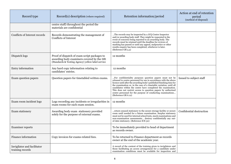| Record type                                     | Record(s) description (where required)                                                                                                          | Retention information/period                                                                                                                                                                                                                                                                                                                                                                                                                                                                         | Action at end of retention<br>period<br>(method of disposal) |
|-------------------------------------------------|-------------------------------------------------------------------------------------------------------------------------------------------------|------------------------------------------------------------------------------------------------------------------------------------------------------------------------------------------------------------------------------------------------------------------------------------------------------------------------------------------------------------------------------------------------------------------------------------------------------------------------------------------------------|--------------------------------------------------------------|
|                                                 | centre staff) throughout the period the<br>materials are confidential                                                                           |                                                                                                                                                                                                                                                                                                                                                                                                                                                                                                      |                                                              |
| Conflicts of Interest records                   | Records demonstrating the management of<br>Conflicts of Interest                                                                                | The records may be inspected by a JCQ Centre Inspector<br>and/or awarding body staff. They might be requested in the<br>event of concerns being reported to an awarding body. The<br>records must be retained until the deadline for reviews of<br>marking has passed or until any appeal, malpractice or other<br>results enquiry has been completed, whichever is later.<br>(Reference GR 5.3)                                                                                                     |                                                              |
| Dispatch logs                                   | Proof of dispatch of exam script packages to<br>awarding body examiners covered by the DfE<br>(Standards & Testing Agency) yellow label service | 12 months                                                                                                                                                                                                                                                                                                                                                                                                                                                                                            |                                                              |
| Entry information                               | Any hard copy information relating to<br>candidates' entries.                                                                                   | 12 months                                                                                                                                                                                                                                                                                                                                                                                                                                                                                            |                                                              |
| Exam question papers                            | Question papers for timetabled written exams.                                                                                                   | For confidentiality purposes question papers must not be<br>released to centre personnel for use in accordance with the above<br>licence until after the awarding body's published finishing time for<br>the examination or, in the case of a timetable variation, until all<br>candidates within the centre have completed the examination.<br>This does not restrict access to question papers by authorised<br>centre personnel for the purpose of conducting examinations<br>(Reference GR 6.12) | Issued to subject staff                                      |
| Exam room incident logs                         | Logs recording any incidents or irregularities in<br>exam rooms for each exam session.                                                          | 12 months                                                                                                                                                                                                                                                                                                                                                                                                                                                                                            |                                                              |
| Exam stationery                                 | Awarding body exam stationery provided<br>solely for the purpose of external exams.                                                             | return unused stationery to the secure storage facility or secure<br>room until needed for a future examination. Surplus stationery<br>must not be used for internal school tests, mock examinations and<br>non-examination assessments destroy confidentially any out-<br>of-date stationery. (Reference ICE 30)                                                                                                                                                                                    | Confidential destruction                                     |
| <b>Examiner</b> reports                         |                                                                                                                                                 | To be immediately provided to head of department<br>as records owner.                                                                                                                                                                                                                                                                                                                                                                                                                                |                                                              |
| Finance information                             | Copy invoices for exams-related fees.                                                                                                           | To be returned to Finance department as records<br>owner at the end of the academic year.                                                                                                                                                                                                                                                                                                                                                                                                            |                                                              |
| Invigilator and facilitator<br>training records |                                                                                                                                                 | A record of the content of the training given to invigilators and<br>those facilitating an access arrangement for a candidate under<br>examination conditions must be available for inspection and                                                                                                                                                                                                                                                                                                   |                                                              |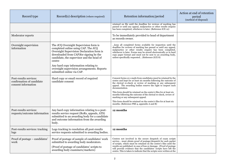| Record type                                                                | Record(s) description (where required)                                                                                                                                                                                      | Retention information/period                                                                                                                                                                                                                                                                                                                                                                                            | Action at end of retention<br>period<br>(method of disposal) |
|----------------------------------------------------------------------------|-----------------------------------------------------------------------------------------------------------------------------------------------------------------------------------------------------------------------------|-------------------------------------------------------------------------------------------------------------------------------------------------------------------------------------------------------------------------------------------------------------------------------------------------------------------------------------------------------------------------------------------------------------------------|--------------------------------------------------------------|
|                                                                            |                                                                                                                                                                                                                             | retained on file until the deadline for reviews of marking has<br>passed or until any appeal, malpractice or other results enquiry<br>has been completed, whichever is later. (Reference ICE 12)                                                                                                                                                                                                                        |                                                              |
| Moderator reports                                                          |                                                                                                                                                                                                                             | To be immediately provided to head of department<br>as records owner.                                                                                                                                                                                                                                                                                                                                                   |                                                              |
| Overnight supervision<br>information                                       | The JCQ Overnight Supervision form is<br>completed online using CAP. The JCQ<br>Overnight Supervision Declaration form is<br>downloaded from CAP) for signing by the<br>candidate, the supervisor and the head of<br>centre | keep all completed forms available for inspection until the<br>deadline for reviews of marking has passed or until any appeal,<br>malpractice or other results enquiry has been completed,<br>whichever is later. Forms may be stored electronically or in hard<br>copy paper format and must not be sent to an awarding body,<br>unless specifically requested (Reference (ICE 8)                                      |                                                              |
|                                                                            | Any hard copy information relating to<br>overnight supervision arrangements. Reports<br>submitted online via CAP.                                                                                                           |                                                                                                                                                                                                                                                                                                                                                                                                                         |                                                              |
| Post-results services:<br>confirmation of candidate<br>consent information | Hard copy or email record of required<br>candidate consent                                                                                                                                                                  | Consent forms or e-mails from candidates must be retained by the<br>centre and kept for at least six months following the outcome of<br>the clerical re-check or review of marking or any subsequent<br>appeal. The awarding bodies reserve the right to inspect such<br>documentation.                                                                                                                                 |                                                              |
|                                                                            |                                                                                                                                                                                                                             | This form should be retained on the centre's files for at least six<br>months following the outcome of the clerical re-check, review of<br>marking or any subsequent appeal.                                                                                                                                                                                                                                            |                                                              |
|                                                                            |                                                                                                                                                                                                                             | This form should be retained on the centre's files for at least six<br>months. (Reference PRS 4, appendix A and B)                                                                                                                                                                                                                                                                                                      |                                                              |
| Post-results services:<br>requests/outcome information                     | Any hard copy information relating to a post-<br>results service request (RoRs, appeals, ATS)<br>submitted to an awarding body for a candidate<br>and outcome information from the awarding<br>body.                        | 12 months                                                                                                                                                                                                                                                                                                                                                                                                               |                                                              |
| Post-results services: tracking<br>logs                                    | Logs tracking to resolution all post-results<br>service requests submitted to awarding bodies.                                                                                                                              | 12 months                                                                                                                                                                                                                                                                                                                                                                                                               |                                                              |
| Proof of postage – candidates'<br>work                                     | Proof of postage of sample of candidates' work<br>submitted to awarding body moderators.<br>(Proof of postage of candidates' scripts to<br>awarding body examiners/markers)                                                 | Centres not involved in the secure despatch of exam scripts<br>service must obtain proof of postage/despatch for each packet<br>of scripts, which must be retained on the centre's files until the<br>results are published, in case of loss or damage. (Proof of postage<br>will provide evidence that the candidates' scripts have left the<br>centre. This is taken to indicate that the scripts were written at the |                                                              |